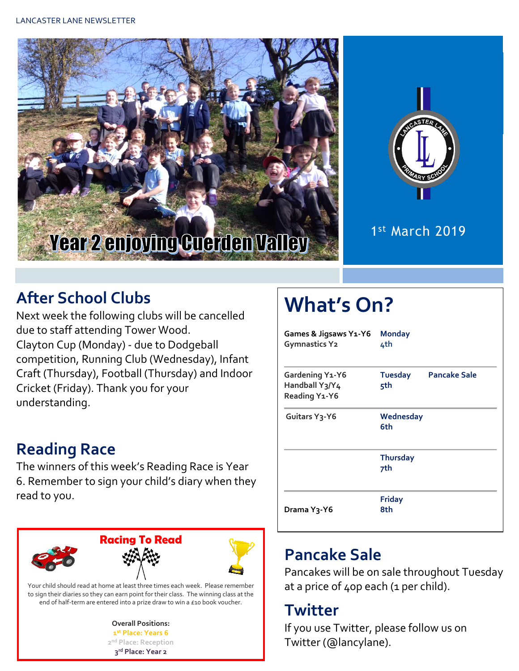



1 st March 2019

## **After School Clubs**

Next week the following clubs will be cancelled due to staff attending Tower Wood. Clayton Cup (Monday) - due to Dodgeball competition, Running Club (Wednesday), Infant Craft (Thursday), Football (Thursday) and Indoor Cricket (Friday). Thank you for your understanding.

## **Reading Race**

The winners of this week's Reading Race is Year 6. Remember to sign your child's diary when they read to you.



#### **Overall Positions: 1 st Place: Years 6 2 nd Place: Reception 3 rd Place: Year 2**

# **What's On?**

| Games & Jigsaws Y1-Y6<br><b>Gymnastics Y2</b>      | <b>Monday</b><br>4th   |                     |
|----------------------------------------------------|------------------------|---------------------|
| Gardening Y1-Y6<br>Handball Y3/Y4<br>Reading Y1-Y6 | <b>Tuesday</b><br>5th  | <b>Pancake Sale</b> |
| Guitars Y <sub>3</sub> -Y6                         | Wednesday<br>6th       |                     |
|                                                    | <b>Thursday</b><br>7th |                     |
| Drama Y <sub>3</sub> -Y6                           | <b>Friday</b><br>8th   |                     |

## **Pancake Sale**

Pancakes will be on sale throughout Tuesday at a price of 40p each (1 per child).

### **Twitter**

If you use Twitter, please follow us on Twitter (@lancylane).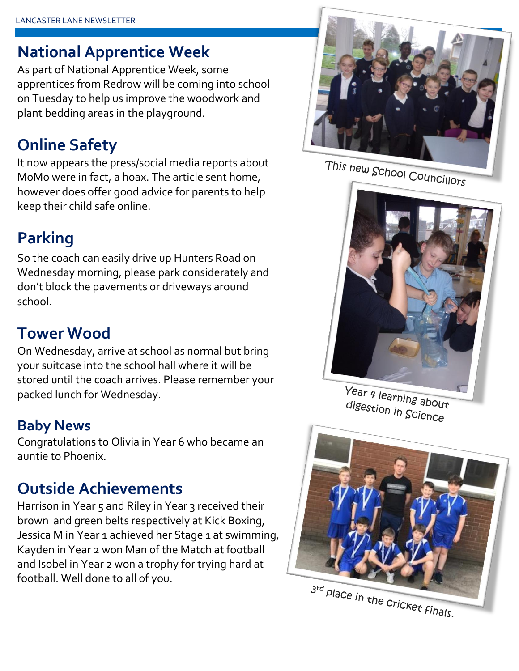### **National Apprentice Week**

As part of National Apprentice Week, some apprentices from Redrow will be coming into school on Tuesday to help us improve the woodwork and plant bedding areas in the playground.

### **Online Safety**

It now appears the press/social media reports about MoMo were in fact, a hoax. The article sent home, however does offer good advice for parents to help keep their child safe online.

## **Parking**

So the coach can easily drive up Hunters Road on Wednesday morning, please park considerately and don't block the pavements or driveways around school.

### **Tower Wood**

On Wednesday, arrive at school as normal but bring your suitcase into the school hall where it will be stored until the coach arrives. Please remember your packed lunch for Wednesday.

### **Baby News**

Congratulations to Olivia in Year 6 who became an auntie to Phoenix.

## **Outside Achievements**

Harrison in Year 5 and Riley in Year 3 received their brown and green belts respectively at Kick Boxing, Jessica M in Year 1 achieved her Stage 1 at swimming, Kayden in Year 2 won Man of the Match at football and Isobel in Year 2 won a trophy for trying hard at football. Well done to all of you.



This new School Councillors



Year 4 learning about<br>digestion in Gei digestion in Science